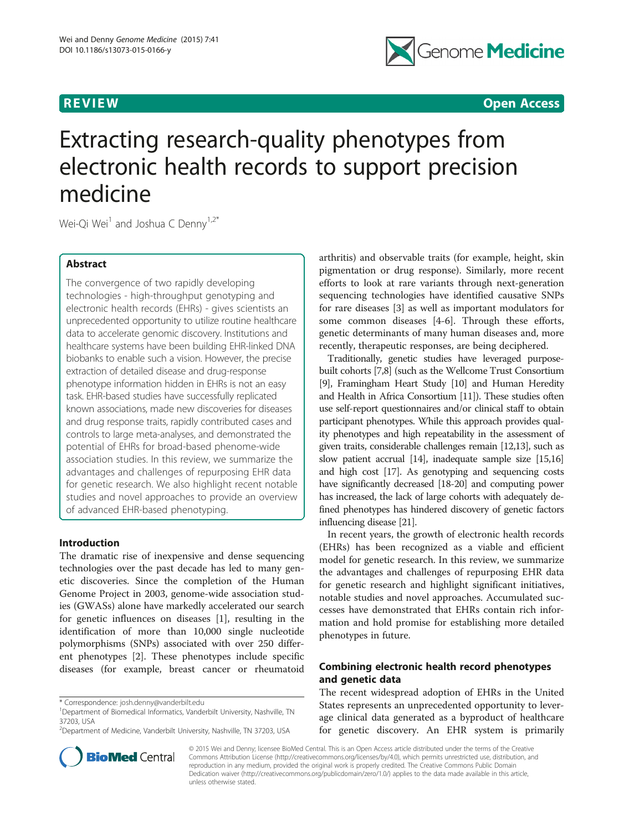

**REVIEW CONSTRUCTION CONSTRUCTION CONSTRUCTION CONSTRUCTS** 

# Extracting research-quality phenotypes from electronic health records to support precision medicine

Wei-Qi Wei<sup>1</sup> and Joshua C Denny<sup>1,2\*</sup>

# Abstract

The convergence of two rapidly developing technologies - high-throughput genotyping and electronic health records (EHRs) - gives scientists an unprecedented opportunity to utilize routine healthcare data to accelerate genomic discovery. Institutions and healthcare systems have been building EHR-linked DNA biobanks to enable such a vision. However, the precise extraction of detailed disease and drug-response phenotype information hidden in EHRs is not an easy task. EHR-based studies have successfully replicated known associations, made new discoveries for diseases and drug response traits, rapidly contributed cases and controls to large meta-analyses, and demonstrated the potential of EHRs for broad-based phenome-wide association studies. In this review, we summarize the advantages and challenges of repurposing EHR data for genetic research. We also highlight recent notable studies and novel approaches to provide an overview of advanced EHR-based phenotyping.

# Introduction

The dramatic rise of inexpensive and dense sequencing technologies over the past decade has led to many genetic discoveries. Since the completion of the Human Genome Project in 2003, genome-wide association studies (GWASs) alone have markedly accelerated our search for genetic influences on diseases [\[1](#page-10-0)], resulting in the identification of more than 10,000 single nucleotide polymorphisms (SNPs) associated with over 250 different phenotypes [\[2](#page-10-0)]. These phenotypes include specific diseases (for example, breast cancer or rheumatoid

<sup>2</sup> Department of Medicine, Vanderbilt University, Nashville, TN 37203, USA



arthritis) and observable traits (for example, height, skin pigmentation or drug response). Similarly, more recent efforts to look at rare variants through next-generation sequencing technologies have identified causative SNPs for rare diseases [\[3](#page-10-0)] as well as important modulators for some common diseases [\[4](#page-10-0)-[6\]](#page-10-0). Through these efforts, genetic determinants of many human diseases and, more recently, therapeutic responses, are being deciphered.

Traditionally, genetic studies have leveraged purposebuilt cohorts [[7,8](#page-10-0)] (such as the Wellcome Trust Consortium [[9](#page-10-0)], Framingham Heart Study [[10](#page-10-0)] and Human Heredity and Health in Africa Consortium [[11](#page-10-0)]). These studies often use self-report questionnaires and/or clinical staff to obtain participant phenotypes. While this approach provides quality phenotypes and high repeatability in the assessment of given traits, considerable challenges remain [\[12,13\]](#page-10-0), such as slow patient accrual [\[14\]](#page-10-0), inadequate sample size [[15,16](#page-10-0)] and high cost [\[17\]](#page-10-0). As genotyping and sequencing costs have significantly decreased [\[18](#page-10-0)-[20](#page-10-0)] and computing power has increased, the lack of large cohorts with adequately defined phenotypes has hindered discovery of genetic factors influencing disease [[21](#page-10-0)].

In recent years, the growth of electronic health records (EHRs) has been recognized as a viable and efficient model for genetic research. In this review, we summarize the advantages and challenges of repurposing EHR data for genetic research and highlight significant initiatives, notable studies and novel approaches. Accumulated successes have demonstrated that EHRs contain rich information and hold promise for establishing more detailed phenotypes in future.

# Combining electronic health record phenotypes and genetic data

The recent widespread adoption of EHRs in the United States represents an unprecedented opportunity to leverage clinical data generated as a byproduct of healthcare for genetic discovery. An EHR system is primarily

© 2015 Wei and Denny; licensee BioMed Central. This is an Open Access article distributed under the terms of the Creative Commons Attribution License [\(http://creativecommons.org/licenses/by/4.0\)](http://creativecommons.org/licenses/by/4.0), which permits unrestricted use, distribution, and reproduction in any medium, provided the original work is properly credited. The Creative Commons Public Domain Dedication waiver [\(http://creativecommons.org/publicdomain/zero/1.0/](http://creativecommons.org/publicdomain/zero/1.0/)) applies to the data made available in this article, unless otherwise stated.

<sup>\*</sup> Correspondence: [josh.denny@vanderbilt.edu](mailto:josh.denny@vanderbilt.edu) <sup>1</sup>

<sup>&</sup>lt;sup>1</sup>Department of Biomedical Informatics, Vanderbilt University, Nashville, TN 37203, USA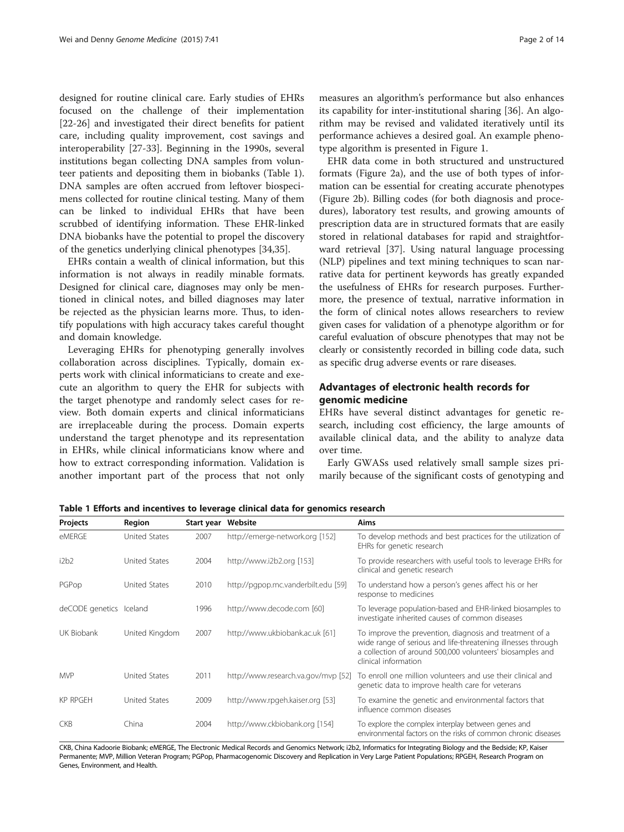<span id="page-1-0"></span>designed for routine clinical care. Early studies of EHRs focused on the challenge of their implementation [[22-26](#page-10-0)] and investigated their direct benefits for patient care, including quality improvement, cost savings and interoperability [\[27](#page-10-0)-[33](#page-10-0)]. Beginning in the 1990s, several institutions began collecting DNA samples from volunteer patients and depositing them in biobanks (Table 1). DNA samples are often accrued from leftover biospecimens collected for routine clinical testing. Many of them can be linked to individual EHRs that have been scrubbed of identifying information. These EHR-linked DNA biobanks have the potential to propel the discovery of the genetics underlying clinical phenotypes [\[34,35\]](#page-10-0).

EHRs contain a wealth of clinical information, but this information is not always in readily minable formats. Designed for clinical care, diagnoses may only be mentioned in clinical notes, and billed diagnoses may later be rejected as the physician learns more. Thus, to identify populations with high accuracy takes careful thought and domain knowledge.

Leveraging EHRs for phenotyping generally involves collaboration across disciplines. Typically, domain experts work with clinical informaticians to create and execute an algorithm to query the EHR for subjects with the target phenotype and randomly select cases for review. Both domain experts and clinical informaticians are irreplaceable during the process. Domain experts understand the target phenotype and its representation in EHRs, while clinical informaticians know where and how to extract corresponding information. Validation is another important part of the process that not only measures an algorithm's performance but also enhances its capability for inter-institutional sharing [[36](#page-10-0)]. An algorithm may be revised and validated iteratively until its performance achieves a desired goal. An example phenotype algorithm is presented in Figure [1.](#page-2-0)

EHR data come in both structured and unstructured formats (Figure [2a](#page-4-0)), and the use of both types of information can be essential for creating accurate phenotypes (Figure [2](#page-4-0)b). Billing codes (for both diagnosis and procedures), laboratory test results, and growing amounts of prescription data are in structured formats that are easily stored in relational databases for rapid and straightforward retrieval [[37](#page-10-0)]. Using natural language processing (NLP) pipelines and text mining techniques to scan narrative data for pertinent keywords has greatly expanded the usefulness of EHRs for research purposes. Furthermore, the presence of textual, narrative information in the form of clinical notes allows researchers to review given cases for validation of a phenotype algorithm or for careful evaluation of obscure phenotypes that may not be clearly or consistently recorded in billing code data, such as specific drug adverse events or rare diseases.

# Advantages of electronic health records for genomic medicine

EHRs have several distinct advantages for genetic research, including cost efficiency, the large amounts of available clinical data, and the ability to analyze data over time.

Early GWASs used relatively small sample sizes primarily because of the significant costs of genotyping and

Table 1 Efforts and incentives to leverage clinical data for genomics research

| Projects                      | Region         | Start year | Website                             | Aims                                                                                                                                                                                                         |
|-------------------------------|----------------|------------|-------------------------------------|--------------------------------------------------------------------------------------------------------------------------------------------------------------------------------------------------------------|
| eMERGE                        | United States  | 2007       | http://emerge-network.org [152]     | To develop methods and best practices for the utilization of<br>EHRs for genetic research                                                                                                                    |
| i <sub>2</sub> b <sub>2</sub> | United States  | 2004       | http://www.i2b2.org [153]           | To provide researchers with useful tools to leverage EHRs for<br>clinical and genetic research                                                                                                               |
| PGPop                         | United States  | 2010       | http://pqpop.mc.vanderbilt.edu [59] | To understand how a person's genes affect his or her<br>response to medicines                                                                                                                                |
| deCODE genetics Iceland       |                | 1996       | http://www.decode.com [60]          | To leverage population-based and EHR-linked biosamples to<br>investigate inherited causes of common diseases                                                                                                 |
| UK Biobank                    | United Kingdom | 2007       | http://www.ukbiobank.ac.uk [61]     | To improve the prevention, diagnosis and treatment of a<br>wide range of serious and life-threatening illnesses through<br>a collection of around 500,000 volunteers' biosamples and<br>clinical information |
| <b>MVP</b>                    | United States  | 2011       | http://www.research.va.gov/mvp [52] | To enroll one million volunteers and use their clinical and<br>genetic data to improve health care for veterans                                                                                              |
| <b>KP RPGEH</b>               | United States  | 2009       | http://www.rpgeh.kaiser.org [53]    | To examine the genetic and environmental factors that<br>influence common diseases                                                                                                                           |
| <b>CKB</b>                    | China          | 2004       | http://www.ckbiobank.org [154]      | To explore the complex interplay between genes and<br>environmental factors on the risks of common chronic diseases                                                                                          |

CKB, China Kadoorie Biobank; eMERGE, The Electronic Medical Records and Genomics Network; i2b2, Informatics for Integrating Biology and the Bedside; KP, Kaiser Permanente; MVP, Million Veteran Program; PGPop, Pharmacogenomic Discovery and Replication in Very Large Patient Populations; RPGEH, Research Program on Genes, Environment, and Health.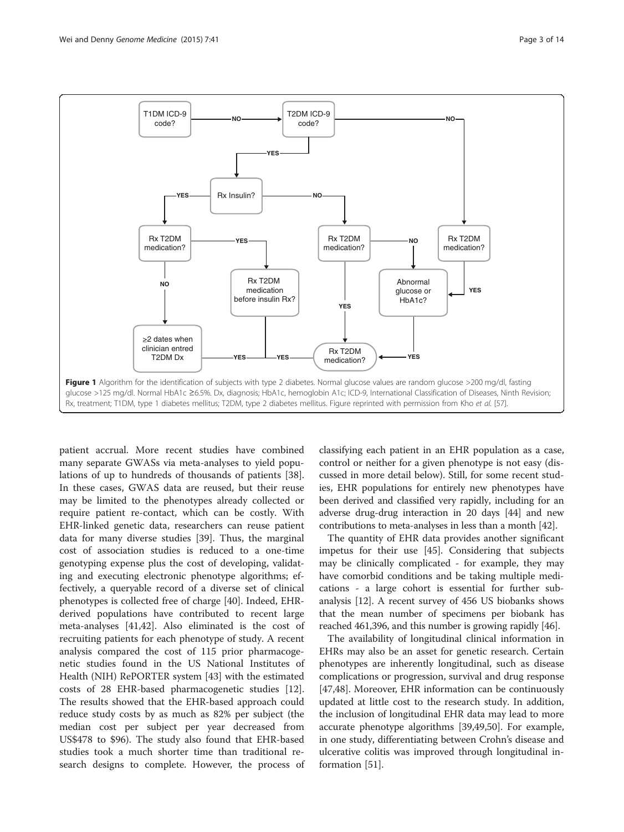

<span id="page-2-0"></span>

patient accrual. More recent studies have combined many separate GWASs via meta-analyses to yield populations of up to hundreds of thousands of patients [\[38](#page-10-0)]. In these cases, GWAS data are reused, but their reuse may be limited to the phenotypes already collected or require patient re-contact, which can be costly. With EHR-linked genetic data, researchers can reuse patient data for many diverse studies [\[39\]](#page-10-0). Thus, the marginal cost of association studies is reduced to a one-time genotyping expense plus the cost of developing, validating and executing electronic phenotype algorithms; effectively, a queryable record of a diverse set of clinical phenotypes is collected free of charge [[40\]](#page-10-0). Indeed, EHRderived populations have contributed to recent large meta-analyses [[41](#page-10-0),[42](#page-11-0)]. Also eliminated is the cost of recruiting patients for each phenotype of study. A recent analysis compared the cost of 115 prior pharmacogenetic studies found in the US National Institutes of Health (NIH) RePORTER system [[43\]](#page-11-0) with the estimated costs of 28 EHR-based pharmacogenetic studies [\[12](#page-10-0)]. The results showed that the EHR-based approach could reduce study costs by as much as 82% per subject (the median cost per subject per year decreased from US\$478 to \$96). The study also found that EHR-based studies took a much shorter time than traditional research designs to complete. However, the process of classifying each patient in an EHR population as a case, control or neither for a given phenotype is not easy (discussed in more detail below). Still, for some recent studies, EHR populations for entirely new phenotypes have been derived and classified very rapidly, including for an adverse drug-drug interaction in 20 days [\[44\]](#page-11-0) and new contributions to meta-analyses in less than a month [\[42](#page-11-0)].

The quantity of EHR data provides another significant impetus for their use [[45\]](#page-11-0). Considering that subjects may be clinically complicated - for example, they may have comorbid conditions and be taking multiple medications - a large cohort is essential for further subanalysis [\[12\]](#page-10-0). A recent survey of 456 US biobanks shows that the mean number of specimens per biobank has reached 461,396, and this number is growing rapidly [[46\]](#page-11-0).

The availability of longitudinal clinical information in EHRs may also be an asset for genetic research. Certain phenotypes are inherently longitudinal, such as disease complications or progression, survival and drug response [[47,48\]](#page-11-0). Moreover, EHR information can be continuously updated at little cost to the research study. In addition, the inclusion of longitudinal EHR data may lead to more accurate phenotype algorithms [[39,](#page-10-0)[49,50\]](#page-11-0). For example, in one study, differentiating between Crohn's disease and ulcerative colitis was improved through longitudinal information [\[51](#page-11-0)].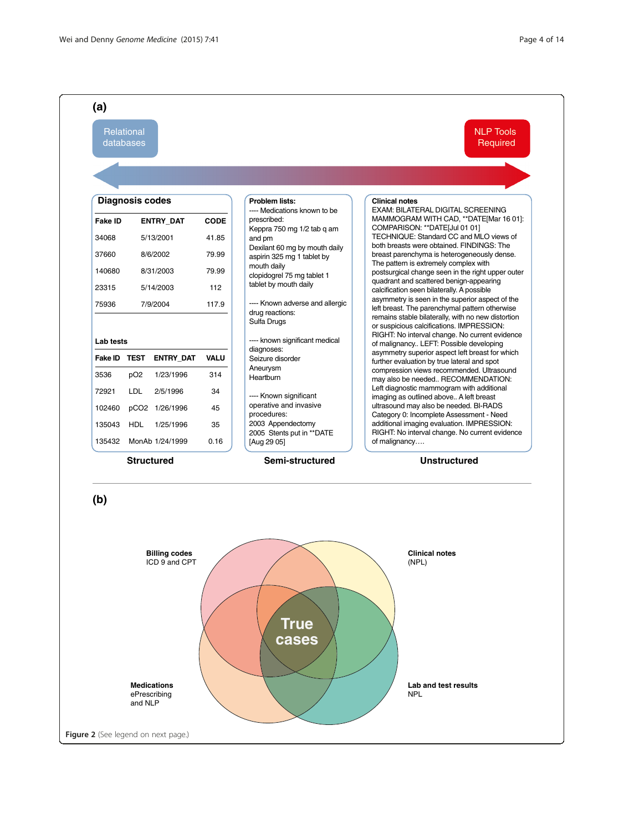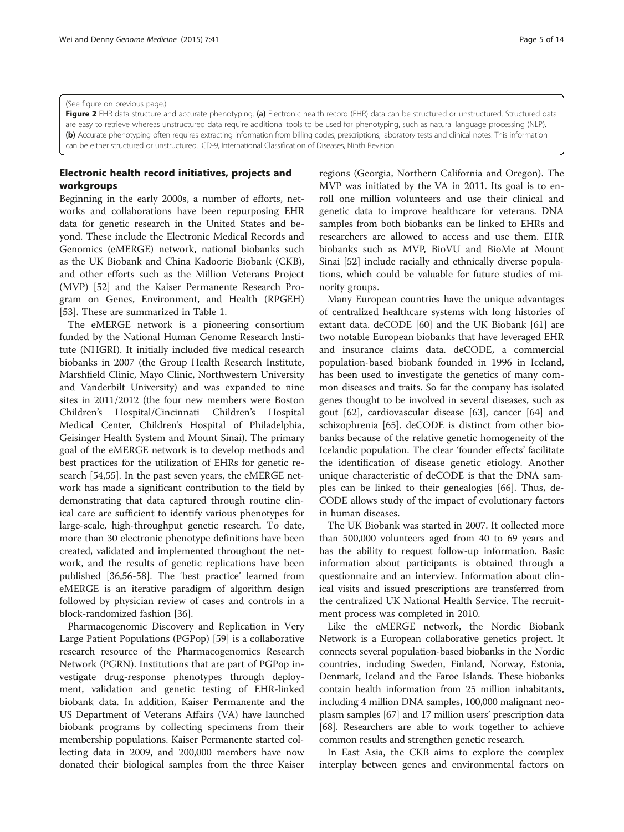#### <span id="page-4-0"></span>(See figure on previous page.)

Figure 2 EHR data structure and accurate phenotyping. (a) Electronic health record (EHR) data can be structured or unstructured. Structured data are easy to retrieve whereas unstructured data require additional tools to be used for phenotyping, such as natural language processing (NLP). (b) Accurate phenotyping often requires extracting information from billing codes, prescriptions, laboratory tests and clinical notes. This information can be either structured or unstructured. ICD-9, International Classification of Diseases, Ninth Revision.

# Electronic health record initiatives, projects and workgroups

Beginning in the early 2000s, a number of efforts, networks and collaborations have been repurposing EHR data for genetic research in the United States and beyond. These include the Electronic Medical Records and Genomics (eMERGE) network, national biobanks such as the UK Biobank and China Kadoorie Biobank (CKB), and other efforts such as the Million Veterans Project (MVP) [\[52](#page-11-0)] and the Kaiser Permanente Research Program on Genes, Environment, and Health (RPGEH) [[53\]](#page-11-0). These are summarized in Table [1](#page-1-0).

The eMERGE network is a pioneering consortium funded by the National Human Genome Research Institute (NHGRI). It initially included five medical research biobanks in 2007 (the Group Health Research Institute, Marshfield Clinic, Mayo Clinic, Northwestern University and Vanderbilt University) and was expanded to nine sites in 2011/2012 (the four new members were Boston Children's Hospital/Cincinnati Children's Hospital Medical Center, Children's Hospital of Philadelphia, Geisinger Health System and Mount Sinai). The primary goal of the eMERGE network is to develop methods and best practices for the utilization of EHRs for genetic research [[54,55\]](#page-11-0). In the past seven years, the eMERGE network has made a significant contribution to the field by demonstrating that data captured through routine clinical care are sufficient to identify various phenotypes for large-scale, high-throughput genetic research. To date, more than 30 electronic phenotype definitions have been created, validated and implemented throughout the network, and the results of genetic replications have been published [[36,](#page-10-0)[56-58\]](#page-11-0). The 'best practice' learned from eMERGE is an iterative paradigm of algorithm design followed by physician review of cases and controls in a block-randomized fashion [\[36](#page-10-0)].

Pharmacogenomic Discovery and Replication in Very Large Patient Populations (PGPop) [\[59](#page-11-0)] is a collaborative research resource of the Pharmacogenomics Research Network (PGRN). Institutions that are part of PGPop investigate drug-response phenotypes through deployment, validation and genetic testing of EHR-linked biobank data. In addition, Kaiser Permanente and the US Department of Veterans Affairs (VA) have launched biobank programs by collecting specimens from their membership populations. Kaiser Permanente started collecting data in 2009, and 200,000 members have now donated their biological samples from the three Kaiser

regions (Georgia, Northern California and Oregon). The MVP was initiated by the VA in 2011. Its goal is to enroll one million volunteers and use their clinical and genetic data to improve healthcare for veterans. DNA samples from both biobanks can be linked to EHRs and researchers are allowed to access and use them. EHR biobanks such as MVP, BioVU and BioMe at Mount Sinai [\[52](#page-11-0)] include racially and ethnically diverse populations, which could be valuable for future studies of minority groups.

Many European countries have the unique advantages of centralized healthcare systems with long histories of extant data. deCODE [\[60\]](#page-11-0) and the UK Biobank [\[61](#page-11-0)] are two notable European biobanks that have leveraged EHR and insurance claims data. deCODE, a commercial population-based biobank founded in 1996 in Iceland, has been used to investigate the genetics of many common diseases and traits. So far the company has isolated genes thought to be involved in several diseases, such as gout [\[62\]](#page-11-0), cardiovascular disease [[63\]](#page-11-0), cancer [[64\]](#page-11-0) and schizophrenia [\[65](#page-11-0)]. deCODE is distinct from other biobanks because of the relative genetic homogeneity of the Icelandic population. The clear 'founder effects' facilitate the identification of disease genetic etiology. Another unique characteristic of deCODE is that the DNA samples can be linked to their genealogies [\[66\]](#page-11-0). Thus, de-CODE allows study of the impact of evolutionary factors in human diseases.

The UK Biobank was started in 2007. It collected more than 500,000 volunteers aged from 40 to 69 years and has the ability to request follow-up information. Basic information about participants is obtained through a questionnaire and an interview. Information about clinical visits and issued prescriptions are transferred from the centralized UK National Health Service. The recruitment process was completed in 2010.

Like the eMERGE network, the Nordic Biobank Network is a European collaborative genetics project. It connects several population-based biobanks in the Nordic countries, including Sweden, Finland, Norway, Estonia, Denmark, Iceland and the Faroe Islands. These biobanks contain health information from 25 million inhabitants, including 4 million DNA samples, 100,000 malignant neoplasm samples [[67\]](#page-11-0) and 17 million users' prescription data [[68](#page-11-0)]. Researchers are able to work together to achieve common results and strengthen genetic research.

In East Asia, the CKB aims to explore the complex interplay between genes and environmental factors on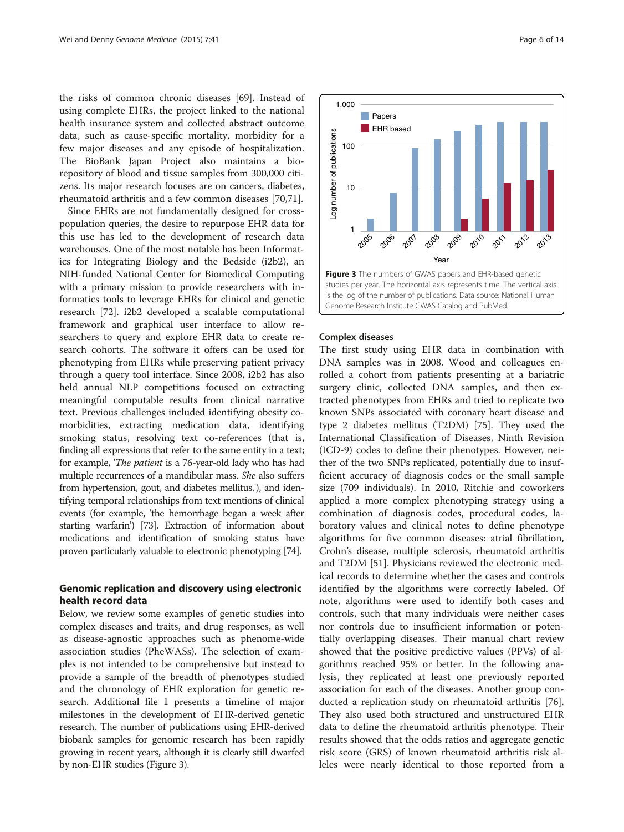the risks of common chronic diseases [\[69\]](#page-11-0). Instead of using complete EHRs, the project linked to the national health insurance system and collected abstract outcome data, such as cause-specific mortality, morbidity for a few major diseases and any episode of hospitalization. The BioBank Japan Project also maintains a biorepository of blood and tissue samples from 300,000 citizens. Its major research focuses are on cancers, diabetes, rheumatoid arthritis and a few common diseases [\[70,71](#page-11-0)].

Since EHRs are not fundamentally designed for crosspopulation queries, the desire to repurpose EHR data for this use has led to the development of research data warehouses. One of the most notable has been Informatics for Integrating Biology and the Bedside (i2b2), an NIH-funded National Center for Biomedical Computing with a primary mission to provide researchers with informatics tools to leverage EHRs for clinical and genetic research [[72](#page-11-0)]. i2b2 developed a scalable computational framework and graphical user interface to allow researchers to query and explore EHR data to create research cohorts. The software it offers can be used for phenotyping from EHRs while preserving patient privacy through a query tool interface. Since 2008, i2b2 has also held annual NLP competitions focused on extracting meaningful computable results from clinical narrative text. Previous challenges included identifying obesity comorbidities, extracting medication data, identifying smoking status, resolving text co-references (that is, finding all expressions that refer to the same entity in a text; for example, 'The patient is a 76-year-old lady who has had multiple recurrences of a mandibular mass. She also suffers from hypertension, gout, and diabetes mellitus.'), and identifying temporal relationships from text mentions of clinical events (for example, 'the hemorrhage began a week after starting warfarin') [\[73\]](#page-11-0). Extraction of information about medications and identification of smoking status have proven particularly valuable to electronic phenotyping [[74](#page-11-0)].

# Genomic replication and discovery using electronic health record data

Below, we review some examples of genetic studies into complex diseases and traits, and drug responses, as well as disease-agnostic approaches such as phenome-wide association studies (PheWASs). The selection of examples is not intended to be comprehensive but instead to provide a sample of the breadth of phenotypes studied and the chronology of EHR exploration for genetic research. Additional file [1](#page-10-0) presents a timeline of major milestones in the development of EHR-derived genetic research. The number of publications using EHR-derived biobank samples for genomic research has been rapidly growing in recent years, although it is clearly still dwarfed by non-EHR studies (Figure 3).



#### Complex diseases

The first study using EHR data in combination with DNA samples was in 2008. Wood and colleagues enrolled a cohort from patients presenting at a bariatric surgery clinic, collected DNA samples, and then extracted phenotypes from EHRs and tried to replicate two known SNPs associated with coronary heart disease and type 2 diabetes mellitus (T2DM) [[75\]](#page-11-0). They used the International Classification of Diseases, Ninth Revision (ICD-9) codes to define their phenotypes. However, neither of the two SNPs replicated, potentially due to insufficient accuracy of diagnosis codes or the small sample size (709 individuals). In 2010, Ritchie and coworkers applied a more complex phenotyping strategy using a combination of diagnosis codes, procedural codes, laboratory values and clinical notes to define phenotype algorithms for five common diseases: atrial fibrillation, Crohn's disease, multiple sclerosis, rheumatoid arthritis and T2DM [\[51](#page-11-0)]. Physicians reviewed the electronic medical records to determine whether the cases and controls identified by the algorithms were correctly labeled. Of note, algorithms were used to identify both cases and controls, such that many individuals were neither cases nor controls due to insufficient information or potentially overlapping diseases. Their manual chart review showed that the positive predictive values (PPVs) of algorithms reached 95% or better. In the following analysis, they replicated at least one previously reported association for each of the diseases. Another group conducted a replication study on rheumatoid arthritis [\[76](#page-11-0)]. They also used both structured and unstructured EHR data to define the rheumatoid arthritis phenotype. Their results showed that the odds ratios and aggregate genetic risk score (GRS) of known rheumatoid arthritis risk alleles were nearly identical to those reported from a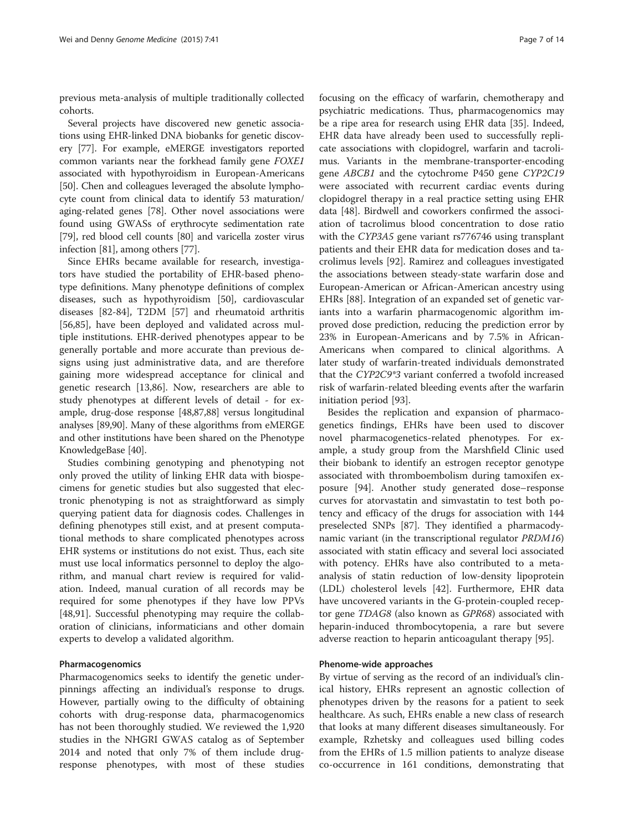previous meta-analysis of multiple traditionally collected cohorts.

Several projects have discovered new genetic associations using EHR-linked DNA biobanks for genetic discovery [\[77](#page-11-0)]. For example, eMERGE investigators reported common variants near the forkhead family gene FOXE1 associated with hypothyroidism in European-Americans [[50](#page-11-0)]. Chen and colleagues leveraged the absolute lymphocyte count from clinical data to identify 53 maturation/ aging-related genes [\[78\]](#page-11-0). Other novel associations were found using GWASs of erythrocyte sedimentation rate [[79](#page-11-0)], red blood cell counts [\[80\]](#page-11-0) and varicella zoster virus infection [[81](#page-11-0)], among others [[77](#page-11-0)].

Since EHRs became available for research, investigators have studied the portability of EHR-based phenotype definitions. Many phenotype definitions of complex diseases, such as hypothyroidism [[50](#page-11-0)], cardiovascular diseases [[82](#page-11-0)-[84\]](#page-11-0), T2DM [[57\]](#page-11-0) and rheumatoid arthritis [[56,85\]](#page-11-0), have been deployed and validated across multiple institutions. EHR-derived phenotypes appear to be generally portable and more accurate than previous designs using just administrative data, and are therefore gaining more widespread acceptance for clinical and genetic research [\[13](#page-10-0)[,86\]](#page-11-0). Now, researchers are able to study phenotypes at different levels of detail - for example, drug-dose response [\[48,87,88](#page-11-0)] versus longitudinal analyses [\[89,90\]](#page-11-0). Many of these algorithms from eMERGE and other institutions have been shared on the Phenotype KnowledgeBase [\[40\]](#page-10-0).

Studies combining genotyping and phenotyping not only proved the utility of linking EHR data with biospecimens for genetic studies but also suggested that electronic phenotyping is not as straightforward as simply querying patient data for diagnosis codes. Challenges in defining phenotypes still exist, and at present computational methods to share complicated phenotypes across EHR systems or institutions do not exist. Thus, each site must use local informatics personnel to deploy the algorithm, and manual chart review is required for validation. Indeed, manual curation of all records may be required for some phenotypes if they have low PPVs [[48,](#page-11-0)[91\]](#page-12-0). Successful phenotyping may require the collaboration of clinicians, informaticians and other domain experts to develop a validated algorithm.

#### Pharmacogenomics

Pharmacogenomics seeks to identify the genetic underpinnings affecting an individual's response to drugs. However, partially owing to the difficulty of obtaining cohorts with drug-response data, pharmacogenomics has not been thoroughly studied. We reviewed the 1,920 studies in the NHGRI GWAS catalog as of September 2014 and noted that only 7% of them include drugresponse phenotypes, with most of these studies

focusing on the efficacy of warfarin, chemotherapy and psychiatric medications. Thus, pharmacogenomics may be a ripe area for research using EHR data [[35\]](#page-10-0). Indeed, EHR data have already been used to successfully replicate associations with clopidogrel, warfarin and tacrolimus. Variants in the membrane-transporter-encoding gene ABCB1 and the cytochrome P450 gene CYP2C19 were associated with recurrent cardiac events during clopidogrel therapy in a real practice setting using EHR data [[48\]](#page-11-0). Birdwell and coworkers confirmed the association of tacrolimus blood concentration to dose ratio with the CYP3A5 gene variant rs776746 using transplant patients and their EHR data for medication doses and tacrolimus levels [\[92\]](#page-12-0). Ramirez and colleagues investigated the associations between steady-state warfarin dose and European-American or African-American ancestry using EHRs [[88\]](#page-11-0). Integration of an expanded set of genetic variants into a warfarin pharmacogenomic algorithm improved dose prediction, reducing the prediction error by 23% in European-Americans and by 7.5% in African-Americans when compared to clinical algorithms. A later study of warfarin-treated individuals demonstrated that the CYP2C9\*3 variant conferred a twofold increased risk of warfarin-related bleeding events after the warfarin initiation period [[93\]](#page-12-0).

Besides the replication and expansion of pharmacogenetics findings, EHRs have been used to discover novel pharmacogenetics-related phenotypes. For example, a study group from the Marshfield Clinic used their biobank to identify an estrogen receptor genotype associated with thromboembolism during tamoxifen exposure [[94\]](#page-12-0). Another study generated dose–response curves for atorvastatin and simvastatin to test both potency and efficacy of the drugs for association with 144 preselected SNPs [[87](#page-11-0)]. They identified a pharmacodynamic variant (in the transcriptional regulator PRDM16) associated with statin efficacy and several loci associated with potency. EHRs have also contributed to a metaanalysis of statin reduction of low-density lipoprotein (LDL) cholesterol levels [\[42\]](#page-11-0). Furthermore, EHR data have uncovered variants in the G-protein-coupled receptor gene TDAG8 (also known as GPR68) associated with heparin-induced thrombocytopenia, a rare but severe adverse reaction to heparin anticoagulant therapy [[95\]](#page-12-0).

### Phenome-wide approaches

By virtue of serving as the record of an individual's clinical history, EHRs represent an agnostic collection of phenotypes driven by the reasons for a patient to seek healthcare. As such, EHRs enable a new class of research that looks at many different diseases simultaneously. For example, Rzhetsky and colleagues used billing codes from the EHRs of 1.5 million patients to analyze disease co-occurrence in 161 conditions, demonstrating that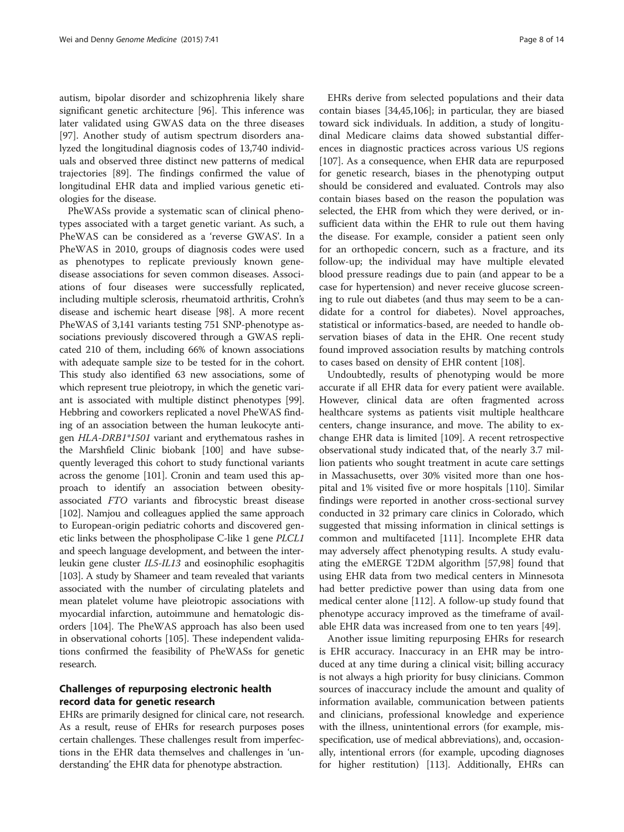autism, bipolar disorder and schizophrenia likely share significant genetic architecture [\[96\]](#page-12-0). This inference was later validated using GWAS data on the three diseases [[97\]](#page-12-0). Another study of autism spectrum disorders analyzed the longitudinal diagnosis codes of 13,740 individuals and observed three distinct new patterns of medical trajectories [[89](#page-11-0)]. The findings confirmed the value of longitudinal EHR data and implied various genetic etiologies for the disease.

PheWASs provide a systematic scan of clinical phenotypes associated with a target genetic variant. As such, a PheWAS can be considered as a 'reverse GWAS'. In a PheWAS in 2010, groups of diagnosis codes were used as phenotypes to replicate previously known genedisease associations for seven common diseases. Associations of four diseases were successfully replicated, including multiple sclerosis, rheumatoid arthritis, Crohn's disease and ischemic heart disease [[98\]](#page-12-0). A more recent PheWAS of 3,141 variants testing 751 SNP-phenotype associations previously discovered through a GWAS replicated 210 of them, including 66% of known associations with adequate sample size to be tested for in the cohort. This study also identified 63 new associations, some of which represent true pleiotropy, in which the genetic variant is associated with multiple distinct phenotypes [[99](#page-12-0)]. Hebbring and coworkers replicated a novel PheWAS finding of an association between the human leukocyte antigen HLA-DRB1\*1501 variant and erythematous rashes in the Marshfield Clinic biobank [[100](#page-12-0)] and have subsequently leveraged this cohort to study functional variants across the genome [[101](#page-12-0)]. Cronin and team used this approach to identify an association between obesityassociated FTO variants and fibrocystic breast disease [[102](#page-12-0)]. Namjou and colleagues applied the same approach to European-origin pediatric cohorts and discovered genetic links between the phospholipase C-like 1 gene PLCL1 and speech language development, and between the interleukin gene cluster IL5-IL13 and eosinophilic esophagitis [[103](#page-12-0)]. A study by Shameer and team revealed that variants associated with the number of circulating platelets and mean platelet volume have pleiotropic associations with myocardial infarction, autoimmune and hematologic disorders [[104](#page-12-0)]. The PheWAS approach has also been used in observational cohorts [[105](#page-12-0)]. These independent validations confirmed the feasibility of PheWASs for genetic research.

# Challenges of repurposing electronic health record data for genetic research

EHRs are primarily designed for clinical care, not research. As a result, reuse of EHRs for research purposes poses certain challenges. These challenges result from imperfections in the EHR data themselves and challenges in 'understanding' the EHR data for phenotype abstraction.

EHRs derive from selected populations and their data contain biases [\[34](#page-10-0)[,45](#page-11-0)[,106](#page-12-0)]; in particular, they are biased toward sick individuals. In addition, a study of longitudinal Medicare claims data showed substantial differences in diagnostic practices across various US regions [[107\]](#page-12-0). As a consequence, when EHR data are repurposed for genetic research, biases in the phenotyping output should be considered and evaluated. Controls may also contain biases based on the reason the population was selected, the EHR from which they were derived, or insufficient data within the EHR to rule out them having the disease. For example, consider a patient seen only for an orthopedic concern, such as a fracture, and its follow-up; the individual may have multiple elevated blood pressure readings due to pain (and appear to be a case for hypertension) and never receive glucose screening to rule out diabetes (and thus may seem to be a candidate for a control for diabetes). Novel approaches, statistical or informatics-based, are needed to handle observation biases of data in the EHR. One recent study found improved association results by matching controls to cases based on density of EHR content [\[108\]](#page-12-0).

Undoubtedly, results of phenotyping would be more accurate if all EHR data for every patient were available. However, clinical data are often fragmented across healthcare systems as patients visit multiple healthcare centers, change insurance, and move. The ability to exchange EHR data is limited [[109\]](#page-12-0). A recent retrospective observational study indicated that, of the nearly 3.7 million patients who sought treatment in acute care settings in Massachusetts, over 30% visited more than one hospital and 1% visited five or more hospitals [\[110\]](#page-12-0). Similar findings were reported in another cross-sectional survey conducted in 32 primary care clinics in Colorado, which suggested that missing information in clinical settings is common and multifaceted [\[111\]](#page-12-0). Incomplete EHR data may adversely affect phenotyping results. A study evaluating the eMERGE T2DM algorithm [[57,](#page-11-0)[98\]](#page-12-0) found that using EHR data from two medical centers in Minnesota had better predictive power than using data from one medical center alone [[112\]](#page-12-0). A follow-up study found that phenotype accuracy improved as the timeframe of available EHR data was increased from one to ten years [\[49](#page-11-0)].

Another issue limiting repurposing EHRs for research is EHR accuracy. Inaccuracy in an EHR may be introduced at any time during a clinical visit; billing accuracy is not always a high priority for busy clinicians. Common sources of inaccuracy include the amount and quality of information available, communication between patients and clinicians, professional knowledge and experience with the illness, unintentional errors (for example, misspecification, use of medical abbreviations), and, occasionally, intentional errors (for example, upcoding diagnoses for higher restitution) [\[113\]](#page-12-0). Additionally, EHRs can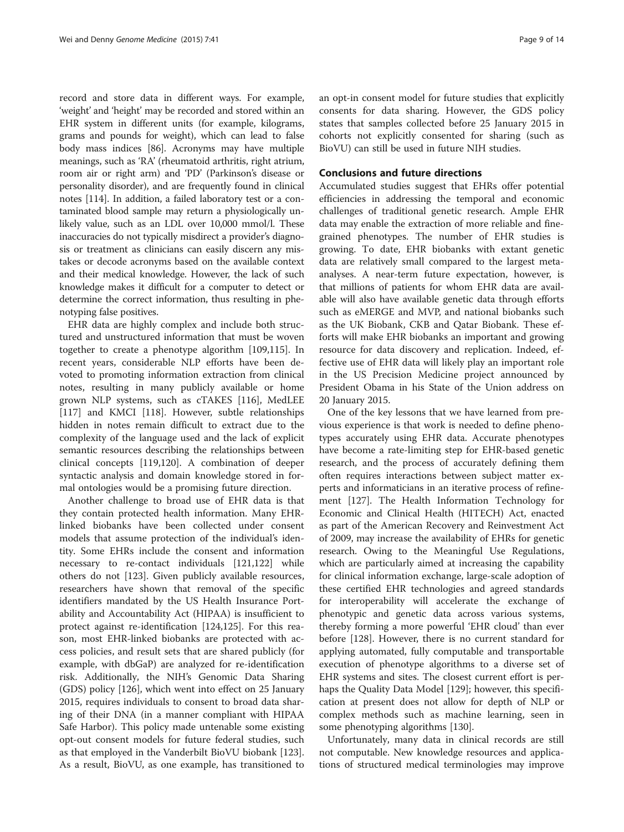record and store data in different ways. For example, 'weight' and 'height' may be recorded and stored within an EHR system in different units (for example, kilograms, grams and pounds for weight), which can lead to false body mass indices [[86](#page-11-0)]. Acronyms may have multiple meanings, such as 'RA' (rheumatoid arthritis, right atrium, room air or right arm) and 'PD' (Parkinson's disease or personality disorder), and are frequently found in clinical notes [[114](#page-12-0)]. In addition, a failed laboratory test or a contaminated blood sample may return a physiologically unlikely value, such as an LDL over 10,000 mmol/l. These inaccuracies do not typically misdirect a provider's diagnosis or treatment as clinicians can easily discern any mistakes or decode acronyms based on the available context and their medical knowledge. However, the lack of such knowledge makes it difficult for a computer to detect or determine the correct information, thus resulting in phenotyping false positives.

EHR data are highly complex and include both structured and unstructured information that must be woven together to create a phenotype algorithm [\[109,115\]](#page-12-0). In recent years, considerable NLP efforts have been devoted to promoting information extraction from clinical notes, resulting in many publicly available or home grown NLP systems, such as cTAKES [\[116\]](#page-12-0), MedLEE [[117\]](#page-12-0) and KMCI [[118\]](#page-12-0). However, subtle relationships hidden in notes remain difficult to extract due to the complexity of the language used and the lack of explicit semantic resources describing the relationships between clinical concepts [\[119,120](#page-12-0)]. A combination of deeper syntactic analysis and domain knowledge stored in formal ontologies would be a promising future direction.

Another challenge to broad use of EHR data is that they contain protected health information. Many EHRlinked biobanks have been collected under consent models that assume protection of the individual's identity. Some EHRs include the consent and information necessary to re-contact individuals [[121,122](#page-12-0)] while others do not [[123\]](#page-12-0). Given publicly available resources, researchers have shown that removal of the specific identifiers mandated by the US Health Insurance Portability and Accountability Act (HIPAA) is insufficient to protect against re-identification [[124,125\]](#page-12-0). For this reason, most EHR-linked biobanks are protected with access policies, and result sets that are shared publicly (for example, with dbGaP) are analyzed for re-identification risk. Additionally, the NIH's Genomic Data Sharing (GDS) policy [[126\]](#page-12-0), which went into effect on 25 January 2015, requires individuals to consent to broad data sharing of their DNA (in a manner compliant with HIPAA Safe Harbor). This policy made untenable some existing opt-out consent models for future federal studies, such as that employed in the Vanderbilt BioVU biobank [\[123](#page-12-0)]. As a result, BioVU, as one example, has transitioned to an opt-in consent model for future studies that explicitly consents for data sharing. However, the GDS policy states that samples collected before 25 January 2015 in cohorts not explicitly consented for sharing (such as BioVU) can still be used in future NIH studies.

# Conclusions and future directions

Accumulated studies suggest that EHRs offer potential efficiencies in addressing the temporal and economic challenges of traditional genetic research. Ample EHR data may enable the extraction of more reliable and finegrained phenotypes. The number of EHR studies is growing. To date, EHR biobanks with extant genetic data are relatively small compared to the largest metaanalyses. A near-term future expectation, however, is that millions of patients for whom EHR data are available will also have available genetic data through efforts such as eMERGE and MVP, and national biobanks such as the UK Biobank, CKB and Qatar Biobank. These efforts will make EHR biobanks an important and growing resource for data discovery and replication. Indeed, effective use of EHR data will likely play an important role in the US Precision Medicine project announced by President Obama in his State of the Union address on 20 January 2015.

One of the key lessons that we have learned from previous experience is that work is needed to define phenotypes accurately using EHR data. Accurate phenotypes have become a rate-limiting step for EHR-based genetic research, and the process of accurately defining them often requires interactions between subject matter experts and informaticians in an iterative process of refinement [\[127\]](#page-12-0). The Health Information Technology for Economic and Clinical Health (HITECH) Act, enacted as part of the American Recovery and Reinvestment Act of 2009, may increase the availability of EHRs for genetic research. Owing to the Meaningful Use Regulations, which are particularly aimed at increasing the capability for clinical information exchange, large-scale adoption of these certified EHR technologies and agreed standards for interoperability will accelerate the exchange of phenotypic and genetic data across various systems, thereby forming a more powerful 'EHR cloud' than ever before [\[128](#page-12-0)]. However, there is no current standard for applying automated, fully computable and transportable execution of phenotype algorithms to a diverse set of EHR systems and sites. The closest current effort is perhaps the Quality Data Model [[129](#page-12-0)]; however, this specification at present does not allow for depth of NLP or complex methods such as machine learning, seen in some phenotyping algorithms [[130](#page-12-0)].

Unfortunately, many data in clinical records are still not computable. New knowledge resources and applications of structured medical terminologies may improve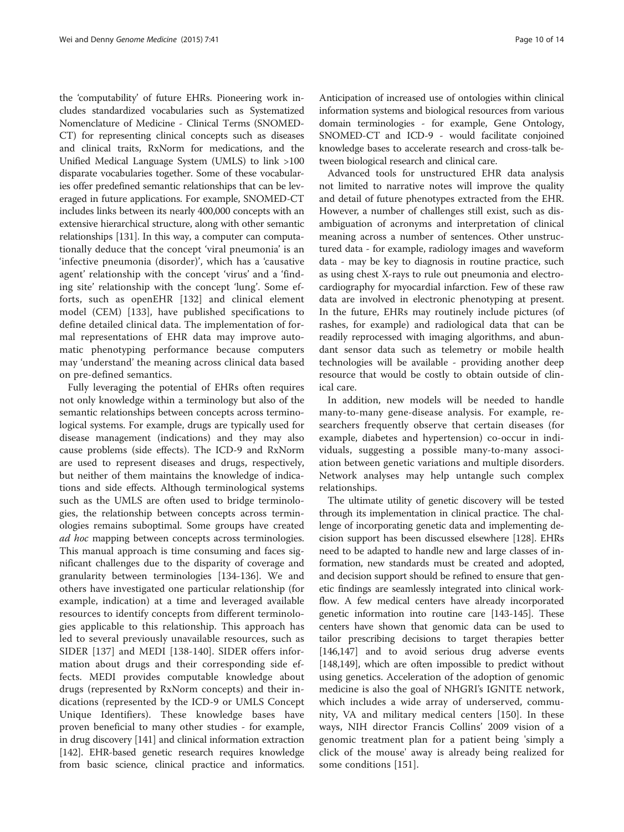the 'computability' of future EHRs. Pioneering work includes standardized vocabularies such as Systematized Nomenclature of Medicine - Clinical Terms (SNOMED-CT) for representing clinical concepts such as diseases and clinical traits, RxNorm for medications, and the Unified Medical Language System (UMLS) to link >100 disparate vocabularies together. Some of these vocabularies offer predefined semantic relationships that can be leveraged in future applications. For example, SNOMED-CT includes links between its nearly 400,000 concepts with an extensive hierarchical structure, along with other semantic relationships [[131](#page-12-0)]. In this way, a computer can computationally deduce that the concept 'viral pneumonia' is an 'infective pneumonia (disorder)', which has a 'causative agent' relationship with the concept 'virus' and a 'finding site' relationship with the concept 'lung'. Some efforts, such as openEHR [[132\]](#page-12-0) and clinical element model (CEM) [[133\]](#page-12-0), have published specifications to define detailed clinical data. The implementation of formal representations of EHR data may improve automatic phenotyping performance because computers may 'understand' the meaning across clinical data based on pre-defined semantics.

Fully leveraging the potential of EHRs often requires not only knowledge within a terminology but also of the semantic relationships between concepts across terminological systems. For example, drugs are typically used for disease management (indications) and they may also cause problems (side effects). The ICD-9 and RxNorm are used to represent diseases and drugs, respectively, but neither of them maintains the knowledge of indications and side effects. Although terminological systems such as the UMLS are often used to bridge terminologies, the relationship between concepts across terminologies remains suboptimal. Some groups have created ad hoc mapping between concepts across terminologies. This manual approach is time consuming and faces significant challenges due to the disparity of coverage and granularity between terminologies [\[134-136](#page-12-0)]. We and others have investigated one particular relationship (for example, indication) at a time and leveraged available resources to identify concepts from different terminologies applicable to this relationship. This approach has led to several previously unavailable resources, such as SIDER [\[137](#page-12-0)] and MEDI [\[138](#page-12-0)-[140](#page-12-0)]. SIDER offers information about drugs and their corresponding side effects. MEDI provides computable knowledge about drugs (represented by RxNorm concepts) and their indications (represented by the ICD-9 or UMLS Concept Unique Identifiers). These knowledge bases have proven beneficial to many other studies - for example, in drug discovery [\[141](#page-12-0)] and clinical information extraction [[142](#page-13-0)]. EHR-based genetic research requires knowledge from basic science, clinical practice and informatics. Anticipation of increased use of ontologies within clinical information systems and biological resources from various domain terminologies - for example, Gene Ontology, SNOMED-CT and ICD-9 - would facilitate conjoined knowledge bases to accelerate research and cross-talk between biological research and clinical care.

Advanced tools for unstructured EHR data analysis not limited to narrative notes will improve the quality and detail of future phenotypes extracted from the EHR. However, a number of challenges still exist, such as disambiguation of acronyms and interpretation of clinical meaning across a number of sentences. Other unstructured data - for example, radiology images and waveform data - may be key to diagnosis in routine practice, such as using chest X-rays to rule out pneumonia and electrocardiography for myocardial infarction. Few of these raw data are involved in electronic phenotyping at present. In the future, EHRs may routinely include pictures (of rashes, for example) and radiological data that can be readily reprocessed with imaging algorithms, and abundant sensor data such as telemetry or mobile health technologies will be available - providing another deep resource that would be costly to obtain outside of clinical care.

In addition, new models will be needed to handle many-to-many gene-disease analysis. For example, researchers frequently observe that certain diseases (for example, diabetes and hypertension) co-occur in individuals, suggesting a possible many-to-many association between genetic variations and multiple disorders. Network analyses may help untangle such complex relationships.

The ultimate utility of genetic discovery will be tested through its implementation in clinical practice. The challenge of incorporating genetic data and implementing decision support has been discussed elsewhere [[128](#page-12-0)]. EHRs need to be adapted to handle new and large classes of information, new standards must be created and adopted, and decision support should be refined to ensure that genetic findings are seamlessly integrated into clinical workflow. A few medical centers have already incorporated genetic information into routine care [[143](#page-13-0)-[145](#page-13-0)]. These centers have shown that genomic data can be used to tailor prescribing decisions to target therapies better [[146,147\]](#page-13-0) and to avoid serious drug adverse events [[148,149\]](#page-13-0), which are often impossible to predict without using genetics. Acceleration of the adoption of genomic medicine is also the goal of NHGRI's IGNITE network, which includes a wide array of underserved, community, VA and military medical centers [[150\]](#page-13-0). In these ways, NIH director Francis Collins' 2009 vision of a genomic treatment plan for a patient being 'simply a click of the mouse' away is already being realized for some conditions [\[151](#page-13-0)].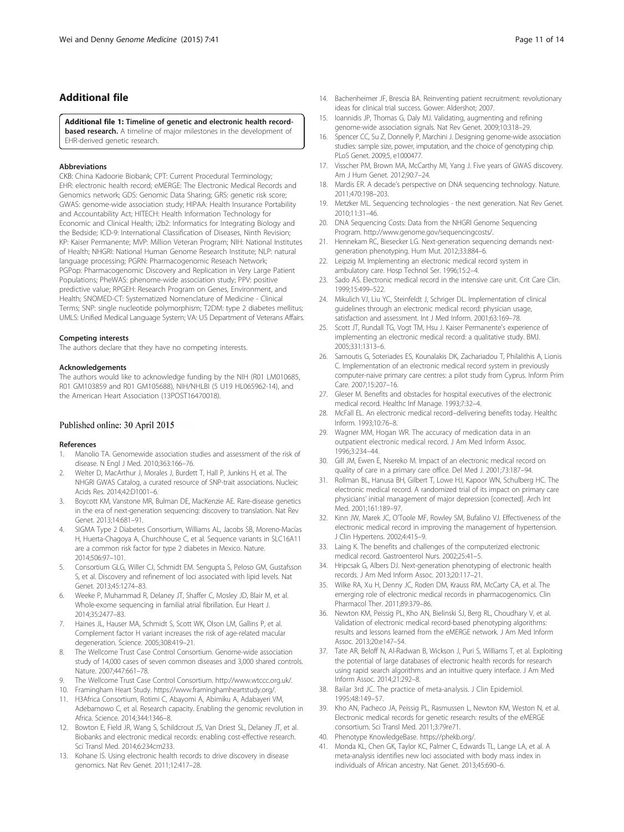# <span id="page-10-0"></span>Additional file

[Additional file 1:](http://genomemedicine.com/content/supplementary/s13073-015-0166-y-s1.pdf) Timeline of genetic and electronic health record**based research.** A timeline of major milestones in the development of EHR-derived genetic research.

#### Abbreviations

CKB: China Kadoorie Biobank; CPT: Current Procedural Terminology; EHR: electronic health record; eMERGE: The Electronic Medical Records and Genomics network; GDS: Genomic Data Sharing; GRS: genetic risk score; GWAS: genome-wide association study; HIPAA: Health Insurance Portability and Accountability Act; HITECH: Health Information Technology for Economic and Clinical Health; i2b2: Informatics for Integrating Biology and the Bedside; ICD-9: International Classification of Diseases, Ninth Revision; KP: Kaiser Permanente; MVP: Million Veteran Program; NIH: National Institutes of Health; NHGRI: National Human Genome Research Institute; NLP: natural language processing; PGRN: Pharmacogenomic Reseach Network; PGPop: Pharmacogenomic Discovery and Replication in Very Large Patient Populations; PheWAS: phenome-wide association study; PPV: positive predictive value; RPGEH: Research Program on Genes, Environment, and Health; SNOMED-CT: Systematized Nomenclature of Medicine - Clinical Terms; SNP: single nucleotide polymorphism; T2DM: type 2 diabetes mellitus; UMLS: Unified Medical Language System; VA: US Department of Veterans Affairs.

#### Competing interests

The authors declare that they have no competing interests.

#### Acknowledgements

The authors would like to acknowledge funding by the NIH (R01 LM010685, R01 GM103859 and R01 GM105688), NIH/NHLBI (5 U19 HL065962-14), and the American Heart Association (13POST16470018).

## Published online: 30 April 2015

#### References

- Manolio TA. Genomewide association studies and assessment of the risk of disease. N Engl J Med. 2010;363:166–76.
- 2. Welter D, MacArthur J, Morales J, Burdett T, Hall P, Junkins H, et al. The NHGRI GWAS Catalog, a curated resource of SNP-trait associations. Nucleic Acids Res. 2014;42:D1001–6.
- 3. Boycott KM, Vanstone MR, Bulman DE, MacKenzie AE. Rare-disease genetics in the era of next-generation sequencing: discovery to translation. Nat Rev Genet. 2013;14:681–91.
- 4. SIGMA Type 2 Diabetes Consortium, Williams AL, Jacobs SB, Moreno-Macías H, Huerta-Chagoya A, Churchhouse C, et al. Sequence variants in SLC16A11 are a common risk factor for type 2 diabetes in Mexico. Nature. 2014;506:97–101.
- 5. Consortium GLG, Willer CJ, Schmidt EM. Sengupta S, Peloso GM, Gustafsson S, et al. Discovery and refinement of loci associated with lipid levels. Nat Genet. 2013;45:1274–83.
- 6. Weeke P, Muhammad R, Delaney JT, Shaffer C, Mosley JD, Blair M, et al. Whole-exome sequencing in familial atrial fibrillation. Eur Heart J. 2014;35:2477–83.
- 7. Haines JL, Hauser MA, Schmidt S, Scott WK, Olson LM, Gallins P, et al. Complement factor H variant increases the risk of age-related macular degeneration. Science. 2005;308:419–21.
- 8. The Wellcome Trust Case Control Consortium. Genome-wide association study of 14,000 cases of seven common diseases and 3,000 shared controls. Nature. 2007;447:661–78.
- 9. The Wellcome Trust Case Control Consortium.<http://www.wtccc.org.uk/>.
- 10. Framingham Heart Study.<https://www.framinghamheartstudy.org/>.
- 11. H3Africa Consortium, Rotimi C, Abayomi A, Abimiku A, Adabayeri VM, Adebamowo C, et al. Research capacity. Enabling the genomic revolution in Africa. Science. 2014;344:1346–8.
- 12. Bowton E, Field JR, Wang S, Schildcrout JS, Van Driest SL, Delaney JT, et al. Biobanks and electronic medical records: enabling cost-effective research. Sci Transl Med. 2014;6:234cm233.
- 13. Kohane IS. Using electronic health records to drive discovery in disease genomics. Nat Rev Genet. 2011;12:417–28.
- 14. Bachenheimer JF, Brescia BA. Reinventing patient recruitment: revolutionary ideas for clinical trial success. Gower: Aldershot; 2007.
- 15. Ioannidis JP, Thomas G, Daly MJ. Validating, augmenting and refining genome-wide association signals. Nat Rev Genet. 2009;10:318–29.
- 16. Spencer CC, Su Z, Donnelly P, Marchini J. Designing genome-wide association studies: sample size, power, imputation, and the choice of genotyping chip. PLoS Genet. 2009;5, e1000477.
- 17. Visscher PM, Brown MA, McCarthy MI, Yang J. Five years of GWAS discovery. Am J Hum Genet. 2012;90:7–24.
- 18. Mardis ER. A decade's perspective on DNA sequencing technology. Nature. 2011;470:198–203.
- 19. Metzker ML. Sequencing technologies the next generation. Nat Rev Genet. 2010;11:31–46.
- 20. DNA Sequencing Costs: Data from the NHGRI Genome Sequencing Program.<http://www.genome.gov/sequencingcosts/>.
- 21. Hennekam RC, Biesecker LG. Next-generation sequencing demands nextgeneration phenotyping. Hum Mut. 2012;33:884–6.
- 22. Leipzig M. Implementing an electronic medical record system in ambulatory care. Hosp Technol Ser. 1996;15:2–4.
- 23. Sado AS. Electronic medical record in the intensive care unit. Crit Care Clin. 1999;15:499–522.
- 24. Mikulich VJ, Liu YC, Steinfeldt J, Schriger DL. Implementation of clinical guidelines through an electronic medical record: physician usage, satisfaction and assessment. Int J Med Inform. 2001;63:169–78.
- 25. Scott JT, Rundall TG, Vogt TM, Hsu J. Kaiser Permanente's experience of implementing an electronic medical record: a qualitative study. BMJ. 2005;331:1313–6.
- 26. Samoutis G, Soteriades ES, Kounalakis DK, Zachariadou T, Philalithis A, Lionis C. Implementation of an electronic medical record system in previously computer-naive primary care centres: a pilot study from Cyprus. Inform Prim Care. 2007;15:207–16.
- 27. Gleser M. Benefits and obstacles for hospital executives of the electronic medical record. Healthc Inf Manage. 1993;7:32–4.
- 28. McFall EL. An electronic medical record–delivering benefits today. Healthc Inform. 1993;10:76–8.
- 29. Wagner MM, Hogan WR. The accuracy of medication data in an outpatient electronic medical record. J Am Med Inform Assoc. 1996;3:234–44.
- 30. Gill JM, Ewen E, Nsereko M. Impact of an electronic medical record on quality of care in a primary care office. Del Med J. 2001;73:187–94.
- 31. Rollman BL, Hanusa BH, Gilbert T, Lowe HJ, Kapoor WN, Schulberg HC. The electronic medical record. A randomized trial of its impact on primary care physicians' initial management of major depression [corrected]. Arch Int Med. 2001;161:189–97.
- 32. Kinn JW, Marek JC, O'Toole MF, Rowley SM, Bufalino VJ. Effectiveness of the electronic medical record in improving the management of hypertension. J Clin Hypertens. 2002;4:415–9.
- 33. Laing K. The benefits and challenges of the computerized electronic medical record. Gastroenterol Nurs. 2002;25:41–5.
- 34. Hripcsak G, Albers DJ. Next-generation phenotyping of electronic health records. J Am Med Inform Assoc. 2013;20:117–21.
- 35. Wilke RA, Xu H, Denny JC, Roden DM, Krauss RM, McCarty CA, et al. The emerging role of electronic medical records in pharmacogenomics. Clin Pharmacol Ther. 2011;89:379–86.
- 36. Newton KM, Peissig PL, Kho AN, Bielinski SJ, Berg RL, Choudhary V, et al. Validation of electronic medical record-based phenotyping algorithms: results and lessons learned from the eMERGE network. J Am Med Inform Assoc. 2013;20:e147–54.
- 37. Tate AR, Beloff N, Al-Radwan B, Wickson J, Puri S, Williams T, et al. Exploiting the potential of large databases of electronic health records for research using rapid search algorithms and an intuitive query interface. J Am Med Inform Assoc. 2014;21:292–8.
- 38. Bailar 3rd JC. The practice of meta-analysis. J Clin Epidemiol. 1995;48:149–57.
- 39. Kho AN, Pacheco JA, Peissig PL, Rasmussen L, Newton KM, Weston N, et al. Electronic medical records for genetic research: results of the eMERGE consortium. Sci Transl Med. 2011;3:79re71.
- 40. Phenotype KnowledgeBase. [https://phekb.org/.](https://phekb.org/)
- 41. Monda KL, Chen GK, Taylor KC, Palmer C, Edwards TL, Lange LA, et al. A meta-analysis identifies new loci associated with body mass index in individuals of African ancestry. Nat Genet. 2013;45:690–6.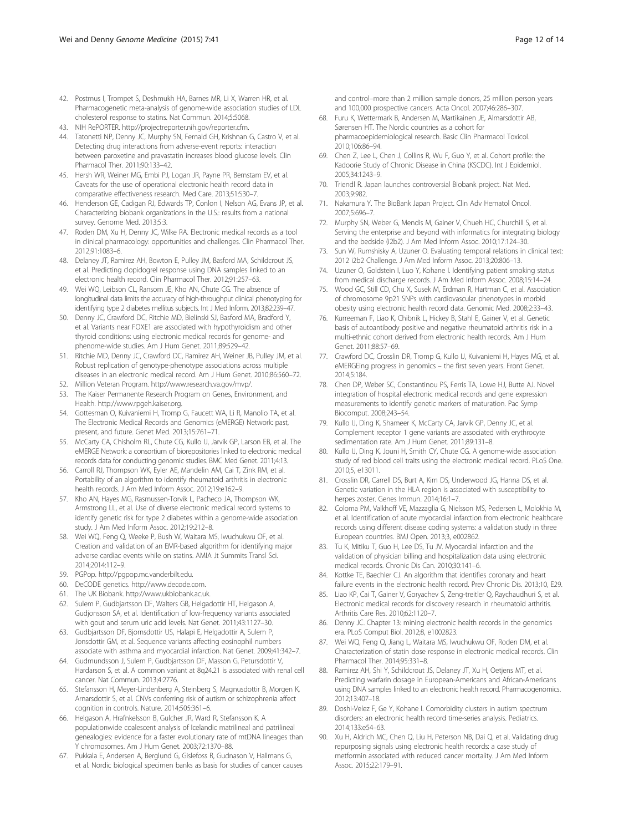- <span id="page-11-0"></span>42. Postmus I, Trompet S, Deshmukh HA, Barnes MR, Li X, Warren HR, et al. Pharmacogenetic meta-analysis of genome-wide association studies of LDL cholesterol response to statins. Nat Commun. 2014;5:5068.
- 43. NIH RePORTER. [http://projectreporter.nih.gov/reporter.cfm.](http://projectreporter.nih.gov/reporter.cfm)
- 44. Tatonetti NP, Denny JC, Murphy SN, Fernald GH, Krishnan G, Castro V, et al. Detecting drug interactions from adverse-event reports: interaction between paroxetine and pravastatin increases blood glucose levels. Clin Pharmacol Ther. 2011;90:133–42.
- 45. Hersh WR, Weiner MG, Embi PJ, Logan JR, Payne PR, Bernstam EV, et al. Caveats for the use of operational electronic health record data in comparative effectiveness research. Med Care. 2013;51:S30–7.
- 46. Henderson GE, Cadigan RJ, Edwards TP, Conlon I, Nelson AG, Evans JP, et al. Characterizing biobank organizations in the U.S.: results from a national survey. Genome Med. 2013;5:3.
- 47. Roden DM, Xu H, Denny JC, Wilke RA. Electronic medical records as a tool in clinical pharmacology: opportunities and challenges. Clin Pharmacol Ther. 2012;91:1083–6.
- 48. Delaney JT, Ramirez AH, Bowton E, Pulley JM, Basford MA, Schildcrout JS, et al. Predicting clopidogrel response using DNA samples linked to an electronic health record. Clin Pharmacol Ther. 2012;91:257–63.
- 49. Wei WQ, Leibson CL, Ransom JE, Kho AN, Chute CG. The absence of longitudinal data limits the accuracy of high-throughput clinical phenotyping for identifying type 2 diabetes mellitus subjects. Int J Med Inform. 2013;82:239–47.
- 50. Denny JC, Crawford DC, Ritchie MD, Bielinski SJ, Basford MA, Bradford Y, et al. Variants near FOXE1 are associated with hypothyroidism and other thyroid conditions: using electronic medical records for genome- and phenome-wide studies. Am J Hum Genet. 2011;89:529–42.
- 51. Ritchie MD, Denny JC, Crawford DC, Ramirez AH, Weiner JB, Pulley JM, et al. Robust replication of genotype-phenotype associations across multiple diseases in an electronic medical record. Am J Hum Genet. 2010;86:560–72.
- 52. Million Veteran Program. [http://www.research.va.gov/mvp/.](http://www.research.va.gov/mvp/)
- 53. The Kaiser Permanente Research Program on Genes, Environment, and Health. [http://www.rpgeh.kaiser.org.](http://www.rpgeh.kaiser.org)
- 54. Gottesman O, Kuivaniemi H, Tromp G, Faucett WA, Li R, Manolio TA, et al. The Electronic Medical Records and Genomics (eMERGE) Network: past, present, and future. Genet Med. 2013;15:761–71.
- 55. McCarty CA, Chisholm RL, Chute CG, Kullo IJ, Jarvik GP, Larson EB, et al. The eMERGE Network: a consortium of biorepositories linked to electronic medical records data for conducting genomic studies. BMC Med Genet. 2011;4:13.
- 56. Carroll RJ, Thompson WK, Eyler AE, Mandelin AM, Cai T, Zink RM, et al. Portability of an algorithm to identify rheumatoid arthritis in electronic health records. J Am Med Inform Assoc. 2012;19:e162–9.
- 57. Kho AN, Hayes MG, Rasmussen-Torvik L, Pacheco JA, Thompson WK, Armstrong LL, et al. Use of diverse electronic medical record systems to identify genetic risk for type 2 diabetes within a genome-wide association study. J Am Med Inform Assoc. 2012;19:212–8.
- 58. Wei WQ, Feng Q, Weeke P, Bush W, Waitara MS, Iwuchukwu OF, et al. Creation and validation of an EMR-based algorithm for identifying major adverse cardiac events while on statins. AMIA Jt Summits Transl Sci. 2014;2014:112–9.
- 59. PGPop.<http://pgpop.mc.vanderbilt.edu>.
- 60. DeCODE genetics.<http://www.decode.com>.
- 61. The UK Biobank. [http://www.ukbiobank.ac.uk.](http://www.ukbiobank.ac.uk)
- 62. Sulem P, Gudbjartsson DF, Walters GB, Helgadottir HT, Helgason A, Gudjonsson SA, et al. Identification of low-frequency variants associated with gout and serum uric acid levels. Nat Genet. 2011;43:1127–30.
- 63. Gudbjartsson DF, Bjornsdottir US, Halapi E, Helgadottir A, Sulem P, Jonsdottir GM, et al. Sequence variants affecting eosinophil numbers associate with asthma and myocardial infarction. Nat Genet. 2009;41:342–7.
- 64. Gudmundsson J, Sulem P, Gudbjartsson DF, Masson G, Petursdottir V, Hardarson S, et al. A common variant at 8q24.21 is associated with renal cell cancer. Nat Commun. 2013;4:2776.
- 65. Stefansson H, Meyer-Lindenberg A, Steinberg S, Magnusdottir B, Morgen K, Arnarsdottir S, et al. CNVs conferring risk of autism or schizophrenia affect cognition in controls. Nature. 2014;505:361–6.
- 66. Helgason A, Hrafnkelsson B, Gulcher JR, Ward R, Stefansson K. A populationwide coalescent analysis of Icelandic matrilineal and patrilineal genealogies: evidence for a faster evolutionary rate of mtDNA lineages than Y chromosomes. Am J Hum Genet. 2003;72:1370–88.
- 67. Pukkala E, Andersen A, Berglund G, Gislefoss R, Gudnason V, Hallmans G, et al. Nordic biological specimen banks as basis for studies of cancer causes

and control–more than 2 million sample donors, 25 million person years and 100,000 prospective cancers. Acta Oncol. 2007;46:286–307.

- 68. Furu K, Wettermark B, Andersen M, Martikainen JE, Almarsdottir AB, Sørensen HT. The Nordic countries as a cohort for pharmacoepidemiological research. Basic Clin Pharmacol Toxicol. 2010;106:86–94.
- 69. Chen Z, Lee L, Chen J, Collins R, Wu F, Guo Y, et al. Cohort profile: the Kadoorie Study of Chronic Disease in China (KSCDC). Int J Epidemiol. 2005;34:1243–9.
- 70. Triendl R. Japan launches controversial Biobank project. Nat Med. 2003;9:982.
- 71. Nakamura Y. The BioBank Japan Project. Clin Adv Hematol Oncol. 2007;5:696–7.
- 72. Murphy SN, Weber G, Mendis M, Gainer V, Chueh HC, Churchill S, et al. Serving the enterprise and beyond with informatics for integrating biology and the bedside (i2b2). J Am Med Inform Assoc. 2010;17:124–30.
- 73. Sun W, Rumshisky A, Uzuner O. Evaluating temporal relations in clinical text: 2012 i2b2 Challenge. J Am Med Inform Assoc. 2013;20:806–13.
- 74. Uzuner O, Goldstein I, Luo Y, Kohane I. Identifying patient smoking status from medical discharge records. J Am Med Inform Assoc. 2008;15:14–24.
- 75. Wood GC, Still CD, Chu X, Susek M, Erdman R, Hartman C, et al. Association of chromosome 9p21 SNPs with cardiovascular phenotypes in morbid obesity using electronic health record data. Genomic Med. 2008;2:33–43.
- 76. Kurreeman F, Liao K, Chibnik L, Hickey B, Stahl E, Gainer V, et al. Genetic basis of autoantibody positive and negative rheumatoid arthritis risk in a multi-ethnic cohort derived from electronic health records. Am J Hum Genet. 2011;88:57–69.
- 77. Crawford DC, Crosslin DR, Tromp G, Kullo IJ, Kuivaniemi H, Hayes MG, et al. eMERGEing progress in genomics – the first seven years. Front Genet. 2014;5:184.
- 78. Chen DP, Weber SC, Constantinou PS, Ferris TA, Lowe HJ, Butte AJ. Novel integration of hospital electronic medical records and gene expression measurements to identify genetic markers of maturation. Pac Symp Biocomput. 2008;243–54.
- 79. Kullo IJ, Ding K, Shameer K, McCarty CA, Jarvik GP, Denny JC, et al. Complement receptor 1 gene variants are associated with erythrocyte sedimentation rate. Am J Hum Genet. 2011;89:131–8.
- 80. Kullo IJ, Ding K, Jouni H, Smith CY, Chute CG. A genome-wide association study of red blood cell traits using the electronic medical record. PLoS One. 2010;5, e13011.
- 81. Crosslin DR, Carrell DS, Burt A, Kim DS, Underwood JG, Hanna DS, et al. Genetic variation in the HLA region is associated with susceptibility to herpes zoster. Genes Immun. 2014;16:1–7.
- 82. Coloma PM, Valkhoff VE, Mazzaglia G, Nielsson MS, Pedersen L, Molokhia M, et al. Identification of acute myocardial infarction from electronic healthcare records using different disease coding systems: a validation study in three European countries. BMJ Open. 2013;3, e002862.
- 83. Tu K, Mitiku T, Guo H, Lee DS, Tu JV. Myocardial infarction and the validation of physician billing and hospitalization data using electronic medical records. Chronic Dis Can. 2010;30:141–6.
- 84. Kottke TE, Baechler CJ. An algorithm that identifies coronary and heart failure events in the electronic health record. Prev Chronic Dis. 2013;10, E29.
- 85. Liao KP, Cai T, Gainer V, Goryachev S, Zeng-treitler Q, Raychaudhuri S, et al. Electronic medical records for discovery research in rheumatoid arthritis. Arthritis Care Res. 2010;62:1120–7.
- 86. Denny JC. Chapter 13: mining electronic health records in the genomics era. PLoS Comput Biol. 2012;8, e1002823.
- 87. Wei WQ, Feng Q, Jiang L, Waitara MS, Iwuchukwu OF, Roden DM, et al. Characterization of statin dose response in electronic medical records. Clin Pharmacol Ther. 2014;95:331–8.
- 88. Ramirez AH, Shi Y, Schildcrout JS, Delaney JT, Xu H, Oetjens MT, et al. Predicting warfarin dosage in European-Americans and African-Americans using DNA samples linked to an electronic health record. Pharmacogenomics. 2012;13:407–18.
- 89. Doshi-Velez F, Ge Y, Kohane I. Comorbidity clusters in autism spectrum disorders: an electronic health record time-series analysis. Pediatrics. 2014;133:e54–63.
- 90. Xu H, Aldrich MC, Chen Q, Liu H, Peterson NB, Dai Q, et al. Validating drug repurposing signals using electronic health records: a case study of metformin associated with reduced cancer mortality. J Am Med Inform Assoc. 2015;22:179–91.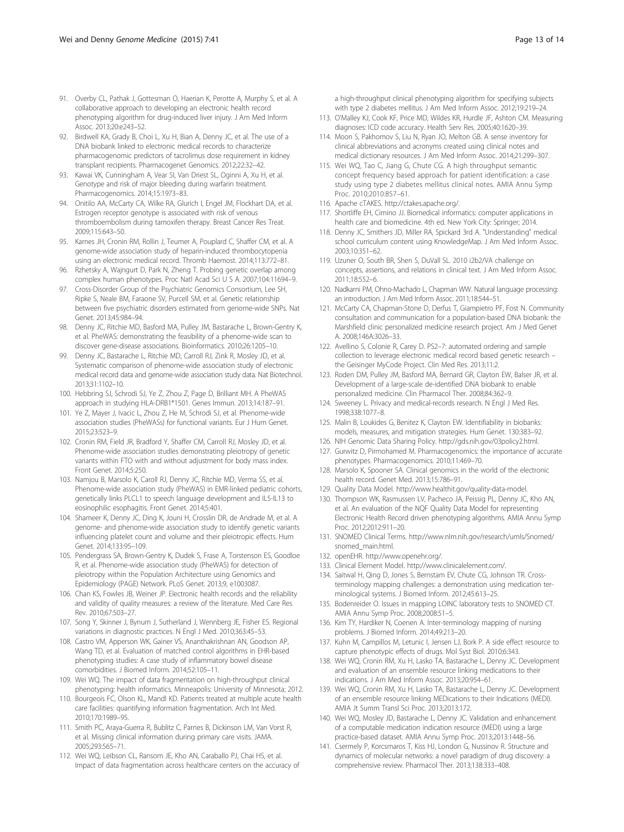- <span id="page-12-0"></span>91. Overby CL, Pathak J, Gottesman O, Haerian K, Perotte A, Murphy S, et al. A collaborative approach to developing an electronic health record phenotyping algorithm for drug-induced liver injury. J Am Med Inform Assoc. 2013;20:e243–52.
- 92. Birdwell KA, Grady B, Choi L, Xu H, Bian A, Denny JC, et al. The use of a DNA biobank linked to electronic medical records to characterize pharmacogenomic predictors of tacrolimus dose requirement in kidney transplant recipients. Pharmacogenet Genomics. 2012;22:32–42.
- 93. Kawai VK, Cunningham A, Vear SI, Van Driest SL, Oginni A, Xu H, et al. Genotype and risk of major bleeding during warfarin treatment. Pharmacogenomics. 2014;15:1973–83.
- 94. Onitilo AA, McCarty CA, Wilke RA, Glurich I, Engel JM, Flockhart DA, et al. Estrogen receptor genotype is associated with risk of venous thromboembolism during tamoxifen therapy. Breast Cancer Res Treat. 2009;115:643–50.
- 95. Karnes JH, Cronin RM, Rollin J, Teumer A, Pouplard C, Shaffer CM, et al. A genome-wide association study of heparin-induced thrombocytopenia using an electronic medical record. Thromb Haemost. 2014;113:772–81.
- 96. Rzhetsky A, Wajngurt D, Park N, Zheng T. Probing genetic overlap among complex human phenotypes. Proc Natl Acad Sci U S A. 2007;104:11694–9.
- 97. Cross-Disorder Group of the Psychiatric Genomics Consortium, Lee SH, Ripke S, Neale BM, Faraone SV, Purcell SM, et al. Genetic relationship between five psychiatric disorders estimated from genome-wide SNPs. Nat Genet. 2013;45:984–94.
- 98. Denny JC, Ritchie MD, Basford MA, Pulley JM, Bastarache L, Brown-Gentry K, et al. PheWAS: demonstrating the feasibility of a phenome-wide scan to discover gene-disease associations. Bioinformatics. 2010;26:1205–10.
- 99. Denny JC, Bastarache L, Ritchie MD, Carroll RJ, Zink R, Mosley JD, et al. Systematic comparison of phenome-wide association study of electronic medical record data and genome-wide association study data. Nat Biotechnol. 2013;31:1102–10.
- 100. Hebbring SJ, Schrodi SJ, Ye Z, Zhou Z, Page D, Brilliant MH. A PheWAS approach in studying HLA-DRB1\*1501. Genes Immun. 2013;14:187–91.
- 101. Ye Z, Mayer J, Ivacic L, Zhou Z, He M, Schrodi SJ, et al. Phenome-wide association studies (PheWASs) for functional variants. Eur J Hum Genet. 2015;23:523–9.
- 102. Cronin RM, Field JR, Bradford Y, Shaffer CM, Carroll RJ, Mosley JD, et al. Phenome-wide association studies demonstrating pleiotropy of genetic variants within FTO with and without adjustment for body mass index. Front Genet. 2014;5:250.
- 103. Namjou B, Marsolo K, Caroll RJ, Denny JC, Ritchie MD, Verma SS, et al. Phenome-wide association study (PheWAS) in EMR-linked pediatric cohorts, genetically links PLCL1 to speech language development and IL5-IL13 to eosinophilic esophagitis. Front Genet. 2014;5:401.
- 104. Shameer K, Denny JC, Ding K, Jouni H, Crosslin DR, de Andrade M, et al. A genome- and phenome-wide association study to identify genetic variants influencing platelet count and volume and their pleiotropic effects. Hum Genet. 2014;133:95–109.
- 105. Pendergrass SA, Brown-Gentry K, Dudek S, Frase A, Torstenson ES, Goodloe R, et al. Phenome-wide association study (PheWAS) for detection of pleiotropy within the Population Architecture using Genomics and Epidemiology (PAGE) Network. PLoS Genet. 2013;9, e1003087.
- 106. Chan KS, Fowles JB, Weiner JP. Electronic health records and the reliability and validity of quality measures: a review of the literature. Med Care Res Rev. 2010;67:503–27.
- 107. Song Y, Skinner J, Bynum J, Sutherland J, Wennberg JE, Fisher ES. Regional variations in diagnostic practices. N Engl J Med. 2010;363:45–53.
- 108. Castro VM, Apperson WK, Gainer VS, Ananthakrishnan AN, Goodson AP, Wang TD, et al. Evaluation of matched control algorithms in EHR-based phenotyping studies: A case study of inflammatory bowel disease comorbidities. J Biomed Inform. 2014;52:105–11.
- 109. Wei WQ. The impact of data fragmentation on high-throughput clinical phenotyping: health informatics. Minneapolis: University of Minnesota; 2012.
- 110. Bourgeois FC, Olson KL, Mandl KD. Patients treated at multiple acute health care facilities: quantifying information fragmentation. Arch Int Med. 2010;170:1989–95.
- 111. Smith PC, Araya-Guerra R, Bublitz C, Parnes B, Dickinson LM, Van Vorst R, et al. Missing clinical information during primary care visits. JAMA. 2005;293:565–71.
- 112. Wei WQ, Leibson CL, Ransom JE, Kho AN, Caraballo PJ, Chai HS, et al. Impact of data fragmentation across healthcare centers on the accuracy of

a high-throughput clinical phenotyping algorithm for specifying subjects with type 2 diabetes mellitus. J Am Med Inform Assoc. 2012;19:219–24.

- 113. O'Malley KJ, Cook KF, Price MD, Wildes KR, Hurdle JF, Ashton CM. Measuring diagnoses: ICD code accuracy. Health Serv Res. 2005;40:1620–39.
- 114. Moon S, Pakhomov S, Liu N, Ryan JO, Melton GB. A sense inventory for clinical abbreviations and acronyms created using clinical notes and medical dictionary resources. J Am Med Inform Assoc. 2014;21:299–307.
- 115. Wei WQ, Tao C, Jiang G, Chute CG. A high throughput semantic concept frequency based approach for patient identification: a case study using type 2 diabetes mellitus clinical notes. AMIA Annu Symp Proc. 2010;2010:857–61.
- 116. Apache cTAKES. [http://ctakes.apache.org/.](http://ctakes.apache.org/)
- 117. Shortliffe EH, Cimino JJ. Biomedical informatics: computer applications in health care and biomedicine. 4th ed. New York City: Springer; 2014.
- 118. Denny JC, Smithers JD, Miller RA, Spickard 3rd A. "Understanding" medical school curriculum content using KnowledgeMap. J Am Med Inform Assoc. 2003;10:351–62.
- 119. Uzuner O, South BR, Shen S, DuVall SL. 2010 i2b2/VA challenge on concepts, assertions, and relations in clinical text. J Am Med Inform Assoc. 2011;18:552–6.
- 120. Nadkarni PM, Ohno-Machado L, Chapman WW. Natural language processing: an introduction. J Am Med Inform Assoc. 2011;18:544–51.
- 121. McCarty CA, Chapman-Stone D, Derfus T, Giampietro PF, Fost N. Community consultation and communication for a population-based DNA biobank: the Marshfield clinic personalized medicine research project. Am J Med Genet A. 2008;146A:3026–33.
- 122. Avellino S, Colonie R, Carey D. PS2–7: automated ordering and sample collection to leverage electronic medical record based genetic research – the Geisinger MyCode Project. Clin Med Res. 2013;11:2.
- 123. Roden DM, Pulley JM, Basford MA, Bernard GR, Clayton EW, Balser JR, et al. Development of a large-scale de-identified DNA biobank to enable personalized medicine. Clin Pharmacol Ther. 2008;84:362–9.
- 124. Sweeney L. Privacy and medical-records research. N Engl J Med Res. 1998;338:1077–8.
- 125. Malin B, Loukides G, Benitez K, Clayton EW. Identifiability in biobanks: models, measures, and mitigation strategies. Hum Genet. 130:383–92.
- 126. NIH Genomic Data Sharing Policy.<http://gds.nih.gov/03policy2.html>.
- 127. Gurwitz D, Pirmohamed M. Pharmacogenomics: the importance of accurate phenotypes. Pharmacogenomics. 2010;11:469–70.
- 128. Marsolo K, Spooner SA. Clinical genomics in the world of the electronic health record. Genet Med. 2013;15:786–91.
- 129. Quality Data Model. [http://www.healthit.gov/quality-data-model.](http://www.healthit.gov/quality-data-model)
- 130. Thompson WK, Rasmussen LV, Pacheco JA, Peissig PL, Denny JC, Kho AN, et al. An evaluation of the NQF Quality Data Model for representing Electronic Health Record driven phenotyping algorithms. AMIA Annu Symp Proc. 2012;2012:911–20.
- 131. SNOMED Clinical Terms. [http://www.nlm.nih.gov/research/umls/Snomed/](http://www.nlm.nih.gov/research/umls/Snomed/snomed_main.html) [snomed\\_main.html](http://www.nlm.nih.gov/research/umls/Snomed/snomed_main.html).
- 132. openEHR.<http://www.openehr.org/>.
- 133. Clinical Element Model.<http://www.clinicalelement.com/>.
- 134. Saitwal H, Qing D, Jones S, Bernstam EV, Chute CG, Johnson TR. Crossterminology mapping challenges: a demonstration using medication terminological systems. J Biomed Inform. 2012;45:613–25.
- 135. Bodenreider O. Issues in mapping LOINC laboratory tests to SNOMED CT. AMIA Annu Symp Proc. 2008;2008:51–5.
- 136. Kim TY, Hardiker N, Coenen A. Inter-terminology mapping of nursing problems. J Biomed Inform. 2014;49:213–20.
- 137. Kuhn M, Campillos M, Letunic I, Jensen LJ, Bork P. A side effect resource to capture phenotypic effects of drugs. Mol Syst Biol. 2010;6:343.
- 138. Wei WQ, Cronin RM, Xu H, Lasko TA, Bastarache L, Denny JC. Development and evaluation of an ensemble resource linking medications to their indications. J Am Med Inform Assoc. 2013;20:954–61.
- 139. Wei WQ, Cronin RM, Xu H, Lasko TA, Bastarache L, Denny JC. Development of an ensemble resource linking MEDications to their Indications (MEDI). AMIA Jt Summ Transl Sci Proc. 2013;2013:172.
- 140. Wei WQ, Mosley JD, Bastarache L, Denny JC. Validation and enhancement of a computable medication indication resource (MEDI) using a large practice-based dataset. AMIA Annu Symp Proc. 2013;2013:1448–56.
- 141. Csermely P, Korcsmaros T, Kiss HJ, London G, Nussinov R. Structure and dynamics of molecular networks: a novel paradigm of drug discovery: a comprehensive review. Pharmacol Ther. 2013;138:333–408.